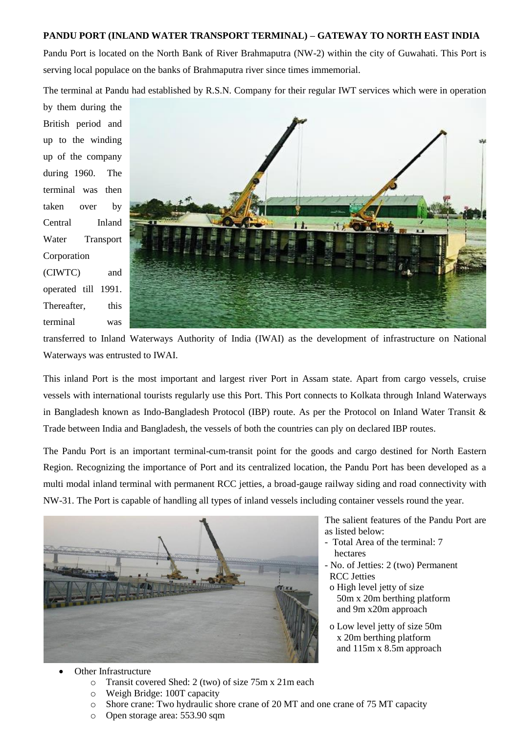## **PANDU PORT (INLAND WATER TRANSPORT TERMINAL) – GATEWAY TO NORTH EAST INDIA**

Pandu Port is located on the North Bank of River Brahmaputra (NW-2) within the city of Guwahati. This Port is serving local populace on the banks of Brahmaputra river since times immemorial.

The terminal at Pandu had established by R.S.N. Company for their regular IWT services which were in operation

by them during the British period and up to the winding up of the company during 1960. The terminal was then taken over by Central Inland Water Transport Corporation (CIWTC) and operated till 1991. Thereafter, this terminal was



transferred to Inland Waterways Authority of India (IWAI) as the development of infrastructure on National Waterways was entrusted to IWAI.

This inland Port is the most important and largest river Port in Assam state. Apart from cargo vessels, cruise vessels with international tourists regularly use this Port. This Port connects to Kolkata through Inland Waterways in Bangladesh known as Indo-Bangladesh Protocol (IBP) route. As per the Protocol on Inland Water Transit & Trade between India and Bangladesh, the vessels of both the countries can ply on declared IBP routes.

The Pandu Port is an important terminal-cum-transit point for the goods and cargo destined for North Eastern Region. Recognizing the importance of Port and its centralized location, the Pandu Port has been developed as a multi modal inland terminal with permanent RCC jetties, a broad-gauge railway siding and road connectivity with NW-31. The Port is capable of handling all types of inland vessels including container vessels round the year.



The salient features of the Pandu Port are as listed below:

- Total Area of the terminal: 7 hectares
- No. of Jetties: 2 (two) Permanent RCC Jetties
- o High level jetty of size 50m x 20m berthing platform and 9m x20m approach
- o Low level jetty of size 50m x 20m berthing platform and 115m x 8.5m approach

- Other Infrastructure
	- o Transit covered Shed: 2 (two) of size 75m x 21m each
	- o Weigh Bridge: 100T capacity
	- o Shore crane: Two hydraulic shore crane of 20 MT and one crane of 75 MT capacity
	- o Open storage area: 553.90 sqm